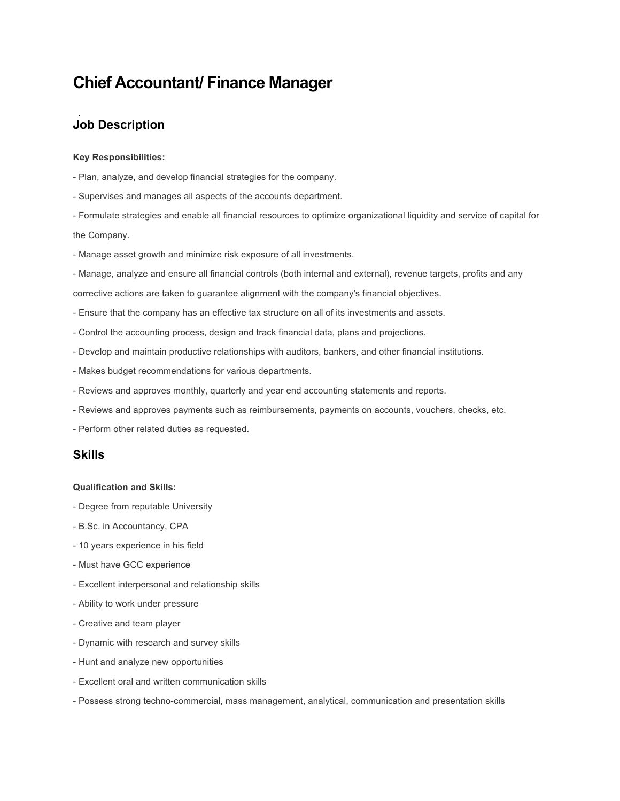# **Chief Accountant/ Finance Manager**

## **Job Description**

#### **Key Responsibilities:**

- Plan, analyze, and develop financial strategies for the company.
- Supervises and manages all aspects of the accounts department.

- Formulate strategies and enable all financial resources to optimize organizational liquidity and service of capital for the Company.

- Manage asset growth and minimize risk exposure of all investments.
- Manage, analyze and ensure all financial controls (both internal and external), revenue targets, profits and any

corrective actions are taken to guarantee alignment with the company's financial objectives.

- Ensure that the company has an effective tax structure on all of its investments and assets.
- Control the accounting process, design and track financial data, plans and projections.
- Develop and maintain productive relationships with auditors, bankers, and other financial institutions.
- Makes budget recommendations for various departments.
- Reviews and approves monthly, quarterly and year end accounting statements and reports.
- Reviews and approves payments such as reimbursements, payments on accounts, vouchers, checks, etc.
- Perform other related duties as requested.

### **Skills**

#### **Qualification and Skills:**

- Degree from reputable University
- B.Sc. in Accountancy, CPA
- 10 years experience in his field
- Must have GCC experience
- Excellent interpersonal and relationship skills
- Ability to work under pressure
- Creative and team player
- Dynamic with research and survey skills
- Hunt and analyze new opportunities
- Excellent oral and written communication skills
- Possess strong techno-commercial, mass management, analytical, communication and presentation skills